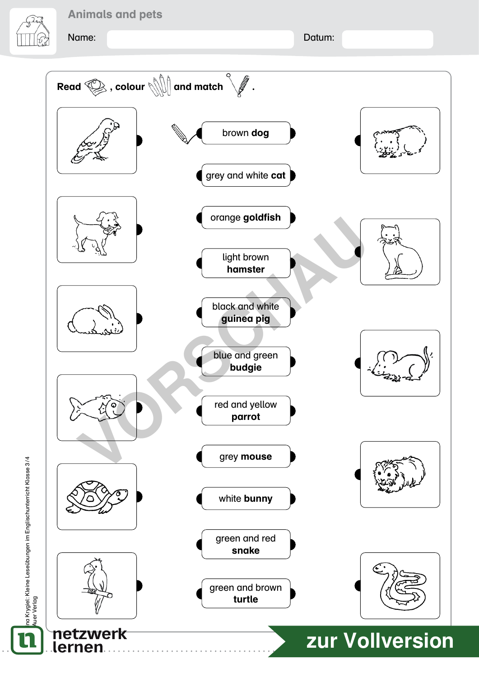Name: Datum:

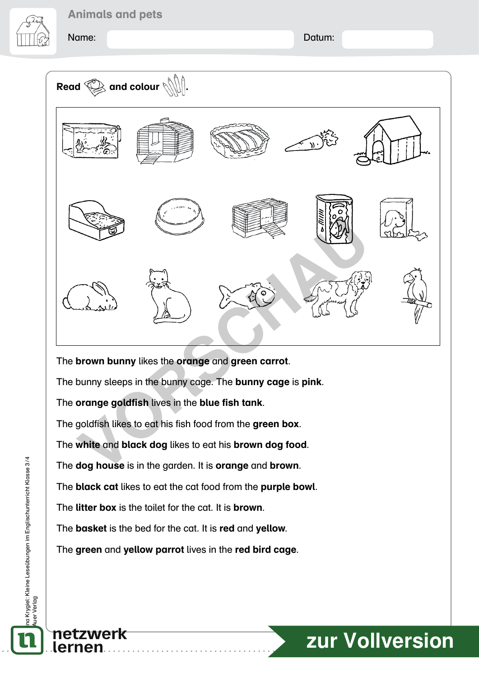Name: Datum:



The brown bunny likes the orange and green carrot.

The bunny sleeps in the bunny cage. The bunny cage is pink.

The orange goldfish lives in the blue fish tank.

The goldfish likes to eat his fish food from the green box.

The white and black dog likes to eat his brown dog food.

The dog house is in the garden. It is orange and brown.

The black cat likes to eat the cat food from the purple bowl.

The **litter box** is the toilet for the cat. It is **brown**.

The **basket** is the bed for the cat. It is red and yellow.

The green and yellow parrot lives in the red bird cage.

# 5 **[zur Vollversion](https://www.netzwerk-lernen.de/::28678.html)**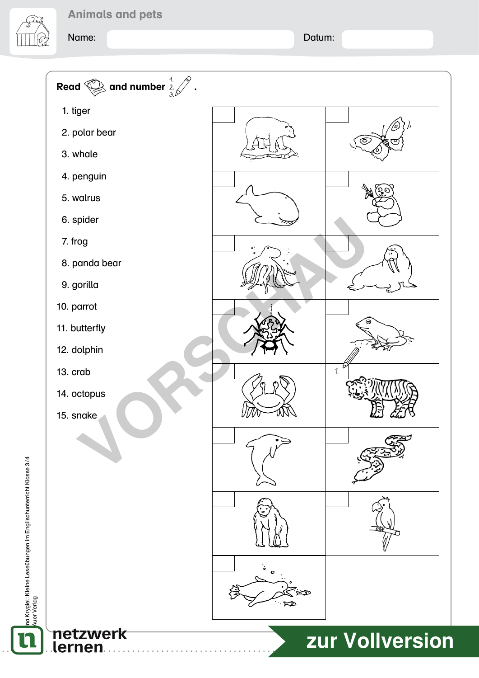Name: Name: Name: Name: Name: Name: Name: Name: Name: Name: Name: Name: Name: Name: Name: Name: Name: Name: Name: Name: Name: Name: Name: Name: Name: Name: Name: Name: Name: Name: Name: Name: Name: Name: Name: Name: Name: